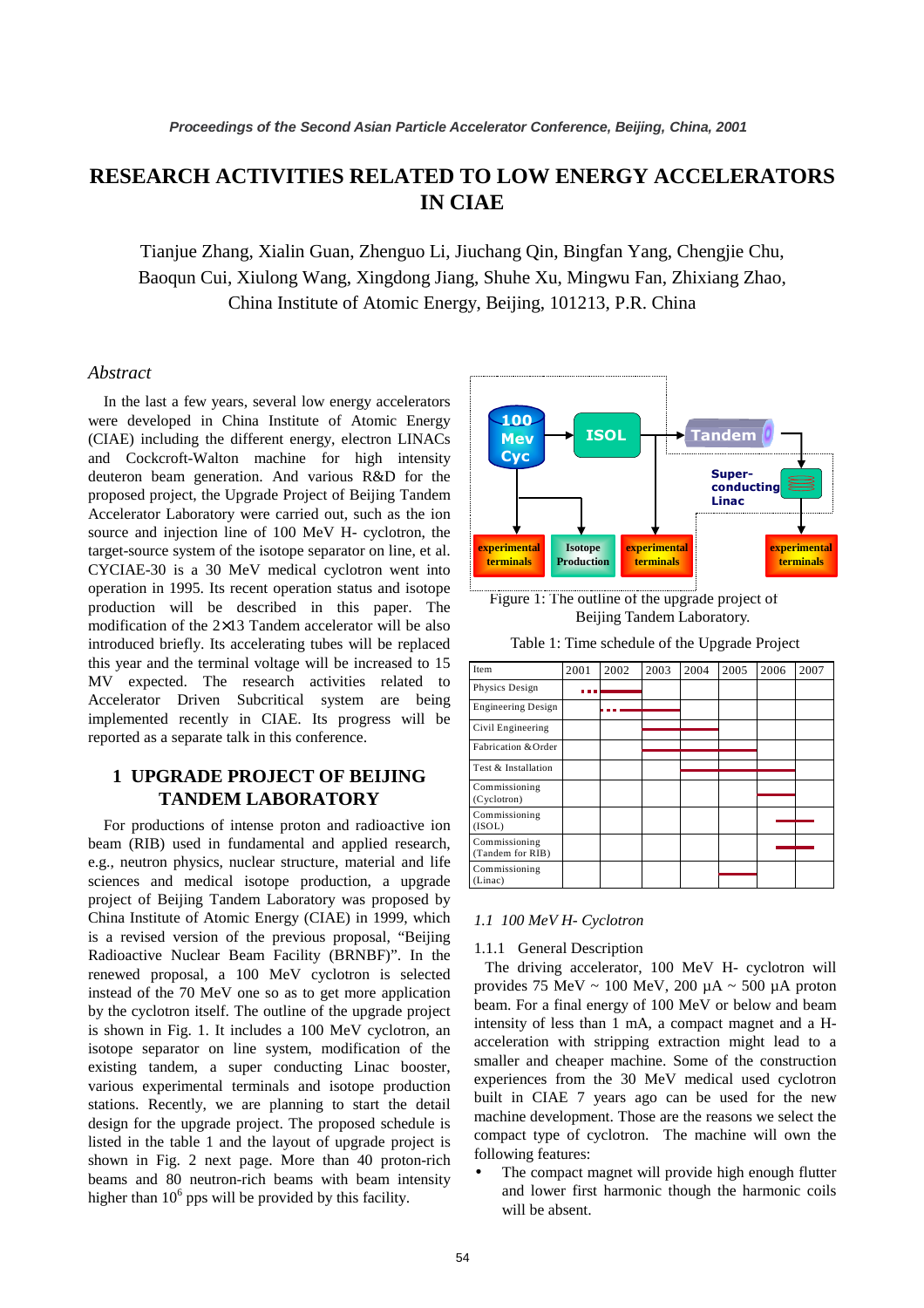# **RESEARCH ACTIVITIES RELATED TO LOW ENERGY ACCELERATORS IN CIAE**

Tianjue Zhang, Xialin Guan, Zhenguo Li, Jiuchang Qin, Bingfan Yang, Chengjie Chu, Baoqun Cui, Xiulong Wang, Xingdong Jiang, Shuhe Xu, Mingwu Fan, Zhixiang Zhao, China Institute of Atomic Energy, Beijing, 101213, P.R. China

### *Abstract*

In the last a few years, several low energy accelerators were developed in China Institute of Atomic Energy (CIAE) including the different energy, electron LINACs and Cockcroft-Walton machine for high intensity deuteron beam generation. And various R&D for the proposed project, the Upgrade Project of Beijing Tandem Accelerator Laboratory were carried out, such as the ion source and injection line of 100 MeV H- cyclotron, the target-source system of the isotope separator on line, et al. CYCIAE-30 is a 30 MeV medical cyclotron went into operation in 1995. Its recent operation status and isotope production will be described in this paper. The modification of the 2×13 Tandem accelerator will be also introduced briefly. Its accelerating tubes will be replaced this year and the terminal voltage will be increased to 15 MV expected. The research activities related to Accelerator Driven Subcritical system are being implemented recently in CIAE. Its progress will be reported as a separate talk in this conference.

# **1 UPGRADE PROJECT OF BEIJING TANDEM LABORATORY**

For productions of intense proton and radioactive ion beam (RIB) used in fundamental and applied research, e.g., neutron physics, nuclear structure, material and life sciences and medical isotope production, a upgrade project of Beijing Tandem Laboratory was proposed by China Institute of Atomic Energy (CIAE) in 1999, which is a revised version of the previous proposal, "Beijing Radioactive Nuclear Beam Facility (BRNBF)". In the renewed proposal, a 100 MeV cyclotron is selected instead of the 70 MeV one so as to get more application by the cyclotron itself. The outline of the upgrade project is shown in Fig. 1. It includes a 100 MeV cyclotron, an isotope separator on line system, modification of the existing tandem, a super conducting Linac booster, various experimental terminals and isotope production stations. Recently, we are planning to start the detail design for the upgrade project. The proposed schedule is listed in the table 1 and the layout of upgrade project is shown in Fig. 2 next page. More than 40 proton-rich beams and 80 neutron-rich beams with beam intensity higher than  $10<sup>6</sup>$  pps will be provided by this facility.





| Item                              | 2001 | 2002 | 2003 | 2004 | 2005 | 2006 | 2007 |
|-----------------------------------|------|------|------|------|------|------|------|
| Physics Design                    |      |      |      |      |      |      |      |
| <b>Engineering Design</b>         |      |      |      |      |      |      |      |
| Civil Engineering                 |      |      |      |      |      |      |      |
| Fabrication & Order               |      |      |      |      |      |      |      |
| Test & Installation               |      |      |      |      |      |      |      |
| Commissioning<br>(Cyclotron)      |      |      |      |      |      |      |      |
| Commissioning<br>(ISOL)           |      |      |      |      |      |      |      |
| Commissioning<br>(Tandem for RIB) |      |      |      |      |      |      |      |
| Commissioning<br>(Linac)          |      |      |      |      |      |      |      |

### *1.1 100 MeV H- Cyclotron*

1.1.1 General Description

The driving accelerator, 100 MeV H- cyclotron will provides 75 MeV  $\sim 100$  MeV, 200  $\mu$ A  $\sim 500$   $\mu$ A proton beam. For a final energy of 100 MeV or below and beam intensity of less than 1 mA, a compact magnet and a Hacceleration with stripping extraction might lead to a smaller and cheaper machine. Some of the construction experiences from the 30 MeV medical used cyclotron built in CIAE 7 years ago can be used for the new machine development. Those are the reasons we select the compact type of cyclotron. The machine will own the following features:

The compact magnet will provide high enough flutter and lower first harmonic though the harmonic coils will be absent.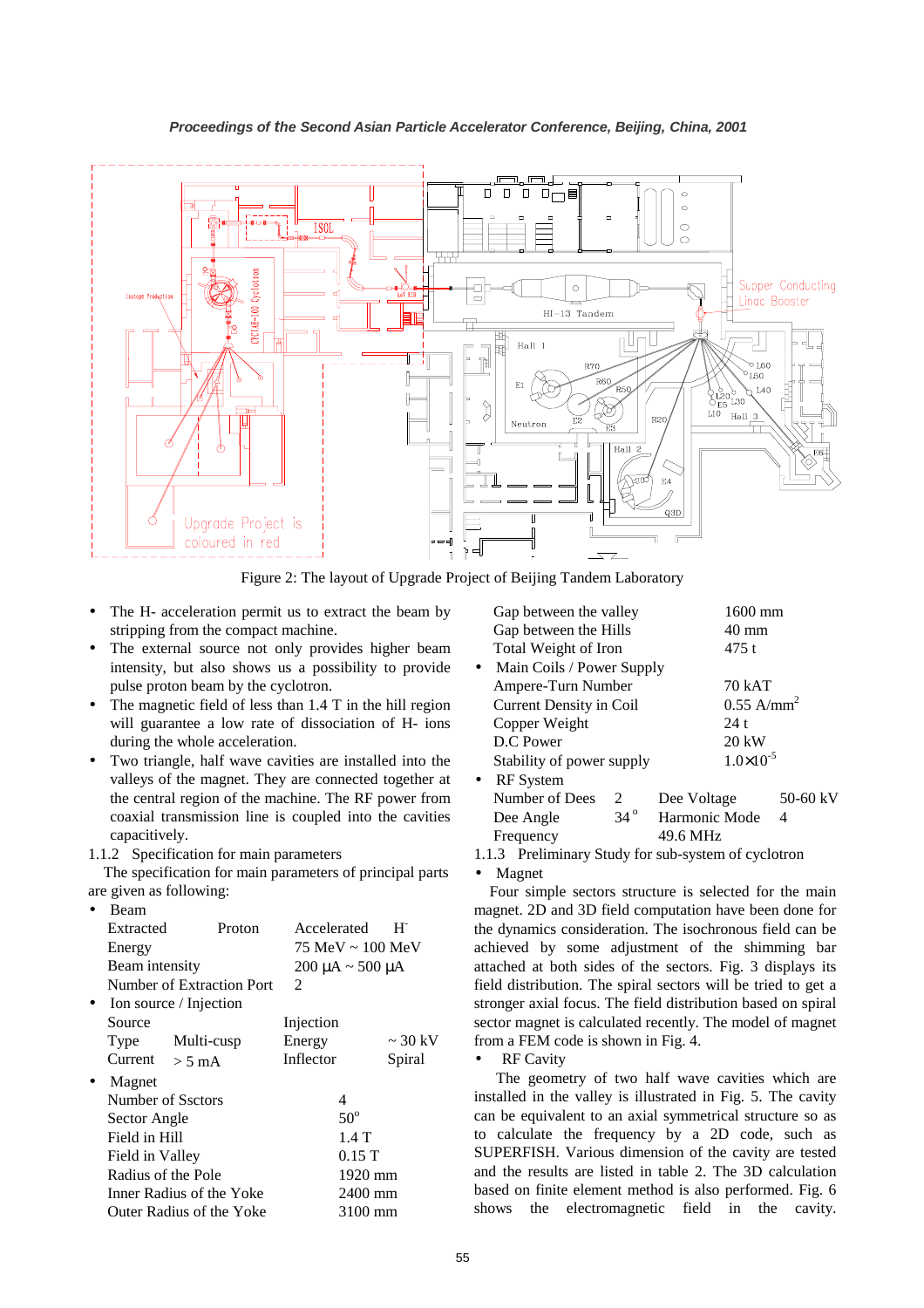

Figure 2: The layout of Upgrade Project of Beijing Tandem Laboratory

- The H- acceleration permit us to extract the beam by stripping from the compact machine.
- The external source not only provides higher beam intensity, but also shows us a possibility to provide pulse proton beam by the cyclotron.
- The magnetic field of less than  $1.4$  T in the hill region will guarantee a low rate of dissociation of H- ions during the whole acceleration.
- Two triangle, half wave cavities are installed into the valleys of the magnet. They are connected together at the central region of the machine. The RF power from coaxial transmission line is coupled into the cavities capacitively.

### 1.1.2 Specification for main parameters

The specification for main parameters of principal parts are given as following:

• Beam

| Extracted          | Proton                    | Accelerated                           | $H^{\cdot}$  |  |
|--------------------|---------------------------|---------------------------------------|--------------|--|
| Energy             |                           | $75 \text{ MeV} \sim 100 \text{ MeV}$ |              |  |
| Beam intensity     |                           | $200 \mu A \sim 500 \mu A$            |              |  |
|                    | Number of Extraction Port | 2                                     |              |  |
|                    | Ion source / Injection    |                                       |              |  |
| Source             |                           | Injection                             |              |  |
| Type               | Multi-cusp                | Energy                                | $\sim$ 30 kV |  |
| Current            | $> 5 \text{ mA}$          | Inflector                             | Spiral       |  |
| Magnet             |                           |                                       |              |  |
| Number of Ssctors  |                           | 4                                     |              |  |
| Sector Angle       |                           | $50^\circ$                            |              |  |
| Field in Hill      |                           | $1.4$ T                               |              |  |
| Field in Valley    |                           | 0.15T                                 |              |  |
| Radius of the Pole |                           |                                       | 1920 mm      |  |
|                    | Inner Radius of the Yoke  | 2400 mm                               |              |  |
|                    | Outer Radius of the Yoke  | 3100 mm                               |              |  |
|                    |                           |                                       |              |  |

|           | Gap between the valley    |                      | 1600 mm                  |                 |          |  |
|-----------|---------------------------|----------------------|--------------------------|-----------------|----------|--|
|           | Gap between the Hills     |                      |                          | $40 \text{ mm}$ |          |  |
|           | Total Weight of Iron      |                      |                          | 475 t           |          |  |
| $\bullet$ | Main Coils / Power Supply |                      |                          |                 |          |  |
|           | Ampere-Turn Number        |                      |                          | 70 kAT          |          |  |
|           | Current Density in Coil   |                      | $0.55$ A/mm <sup>2</sup> |                 |          |  |
|           | Copper Weight             |                      | 24 t                     |                 |          |  |
|           | D.C. Power                |                      | 20 kW                    |                 |          |  |
|           | Stability of power supply | $1.0 \times 10^{-5}$ |                          |                 |          |  |
| $\bullet$ | <b>RF</b> System          |                      |                          |                 |          |  |
|           | Number of Dees            | $\mathcal{L}$        | Dee Voltage              |                 | 50-60 kV |  |
|           | Dee Angle                 | $34^\circ$           | Harmonic Mode            |                 | 4        |  |

1.1.3 Preliminary Study for sub-system of cyclotron

Frequency 49.6 MHz

• Magnet

Four simple sectors structure is selected for the main magnet. 2D and 3D field computation have been done for the dynamics consideration. The isochronous field can be achieved by some adjustment of the shimming bar attached at both sides of the sectors. Fig. 3 displays its field distribution. The spiral sectors will be tried to get a stronger axial focus. The field distribution based on spiral sector magnet is calculated recently. The model of magnet from a FEM code is shown in Fig. 4.

**RF Cavity** 

The geometry of two half wave cavities which are installed in the valley is illustrated in Fig. 5. The cavity can be equivalent to an axial symmetrical structure so as to calculate the frequency by a 2D code, such as SUPERFISH. Various dimension of the cavity are tested and the results are listed in table 2. The 3D calculation based on finite element method is also performed. Fig. 6 shows the electromagnetic field in the cavity.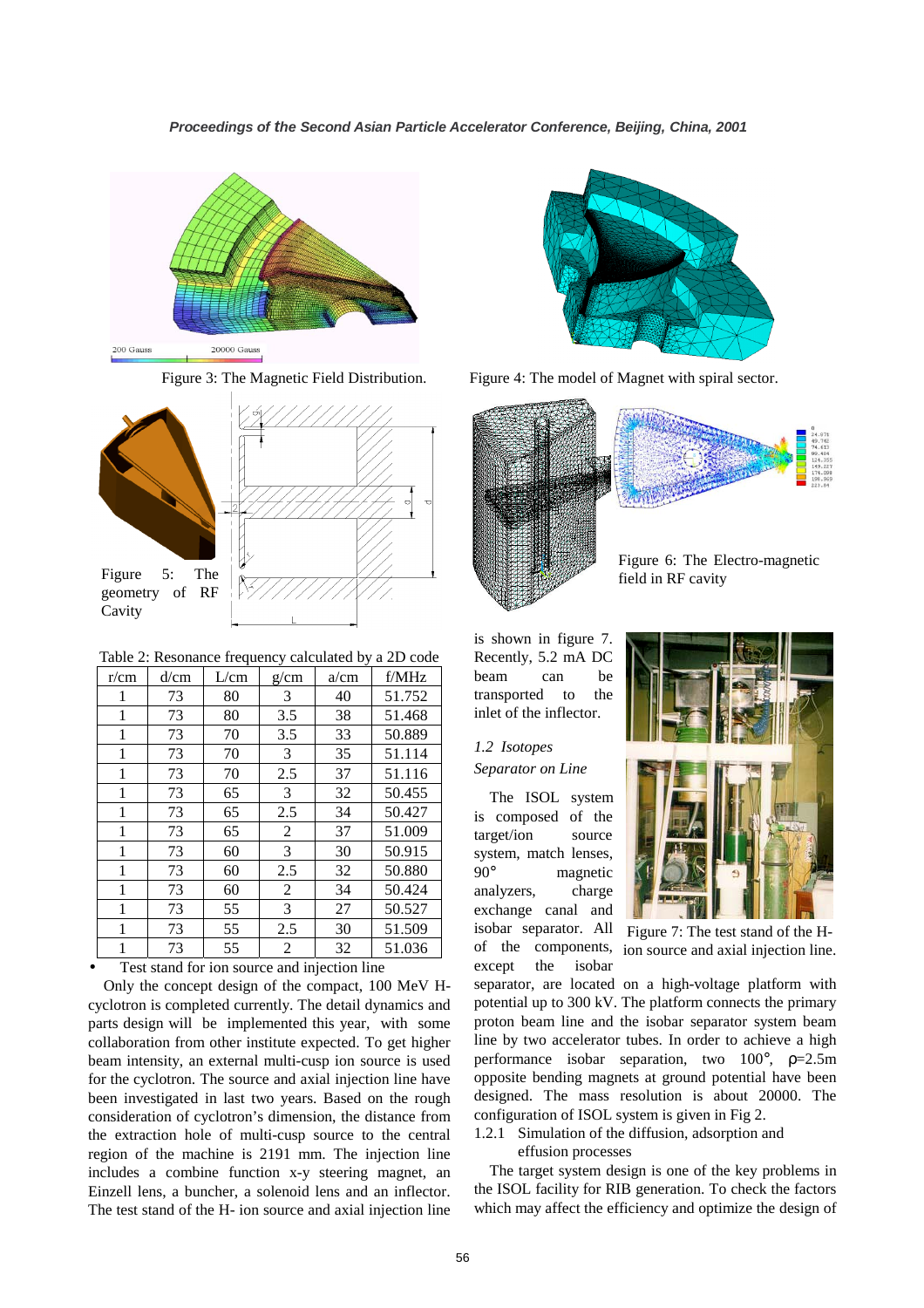



geometry of RF

Cavity



Table 2: Resonance frequency calculated by a 2D code

| r/cm | d/cm | L/cm | g/cm | a/cm | f/MHz  |
|------|------|------|------|------|--------|
| 1    | 73   | 80   | 3    | 40   | 51.752 |
| 1    | 73   | 80   | 3.5  | 38   | 51.468 |
| 1    | 73   | 70   | 3.5  | 33   | 50.889 |
| 1    | 73   | 70   | 3    | 35   | 51.114 |
| 1    | 73   | 70   | 2.5  | 37   | 51.116 |
| 1    | 73   | 65   | 3    | 32   | 50.455 |
| 1    | 73   | 65   | 2.5  | 34   | 50.427 |
| 1    | 73   | 65   | 2    | 37   | 51.009 |
| 1    | 73   | 60   | 3    | 30   | 50.915 |
| 1    | 73   | 60   | 2.5  | 32   | 50.880 |
| 1    | 73   | 60   | 2    | 34   | 50.424 |
| 1    | 73   | 55   | 3    | 27   | 50.527 |
| 1    | 73   | 55   | 2.5  | 30   | 51.509 |
| 1    | 73   | 55   | 2    | 32   | 51.036 |

Test stand for ion source and injection line

Only the concept design of the compact, 100 MeV Hcyclotron is completed currently. The detail dynamics and parts design will be implemented this year, with some collaboration from other institute expected. To get higher beam intensity, an external multi-cusp ion source is used for the cyclotron. The source and axial injection line have been investigated in last two years. Based on the rough consideration of cyclotron's dimension, the distance from the extraction hole of multi-cusp source to the central region of the machine is 2191 mm. The injection line includes a combine function x-y steering magnet, an Einzell lens, a buncher, a solenoid lens and an inflector. The test stand of the H- ion source and axial injection line



Figure 3: The Magnetic Field Distribution. Figure 4: The model of Magnet with spiral sector.



is shown in figure 7. Recently, 5.2 mA DC beam can be transported to the inlet of the inflector.

## *1.2 Isotopes Separator on Line*

The ISOL system is composed of the target/ion source system, match lenses, 90° magnetic analyzers, charge exchange canal and isobar separator. All of the components, except the isobar



Figure 7: The test stand of the Hion source and axial injection line.

separator, are located on a high-voltage platform with potential up to 300 kV. The platform connects the primary proton beam line and the isobar separator system beam line by two accelerator tubes. In order to achieve a high performance isobar separation, two 100°, ρ=2.5m opposite bending magnets at ground potential have been designed. The mass resolution is about 20000. The configuration of ISOL system is given in Fig 2.

1.2.1 Simulation of the diffusion, adsorption and

effusion processes

The target system design is one of the key problems in the ISOL facility for RIB generation. To check the factors which may affect the efficiency and optimize the design of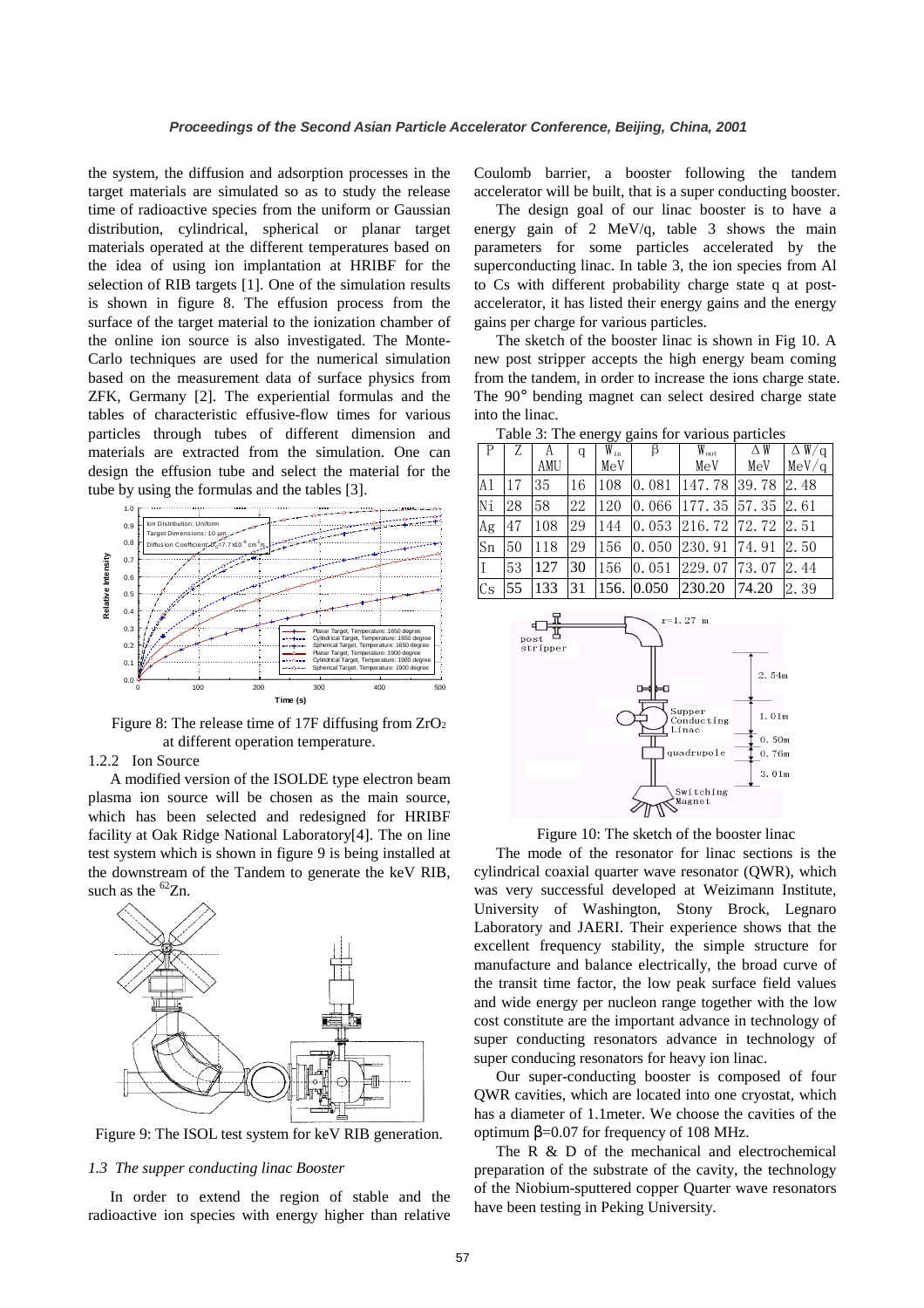the system, the diffusion and adsorption processes in the target materials are simulated so as to study the release time of radioactive species from the uniform or Gaussian distribution, cylindrical, spherical or planar target materials operated at the different temperatures based on the idea of using ion implantation at HRIBF for the selection of RIB targets [1]. One of the simulation results is shown in figure 8. The effusion process from the surface of the target material to the ionization chamber of the online ion source is also investigated. The Monte-Carlo techniques are used for the numerical simulation based on the measurement data of surface physics from ZFK, Germany [2]. The experiential formulas and the tables of characteristic effusive-flow times for various particles through tubes of different dimension and materials are extracted from the simulation. One can design the effusion tube and select the material for the tube by using the formulas and the tables [3].



Figure 8: The release time of 17F diffusing from ZrO<sup>2</sup> at different operation temperature.

### 1.2.2 Ion Source

A modified version of the ISOLDE type electron beam plasma ion source will be chosen as the main source, which has been selected and redesigned for HRIBF facility at Oak Ridge National Laboratory[4]. The on line test system which is shown in figure 9 is being installed at the downstream of the Tandem to generate the keV RIB, such as the  ${}^{62}Zn$ .



Figure 9: The ISOL test system for keV RIB generation.

#### *1.3 The supper conducting linac Booster*

In order to extend the region of stable and the radioactive ion species with energy higher than relative

Coulomb barrier, a booster following the tandem accelerator will be built, that is a super conducting booster.

The design goal of our linac booster is to have a energy gain of 2 MeV/q, table 3 shows the main parameters for some particles accelerated by the superconducting linac. In table 3, the ion species from Al to Cs with different probability charge state q at postaccelerator, it has listed their energy gains and the energy gains per charge for various particles.

The sketch of the booster linac is shown in Fig 10. A new post stripper accepts the high energy beam coming from the tandem, in order to increase the ions charge state. The 90° bending magnet can select desired charge state into the linac.

|                |    | А   | q  | $W_{\rm in}$ | β          | $W_{\text{out}}$                                  | $\triangle W$ | $\overline{\Delta}$ W/q |
|----------------|----|-----|----|--------------|------------|---------------------------------------------------|---------------|-------------------------|
|                |    | AMU |    | MeV          |            | MeV                                               | MeV           | MeV/q                   |
| A <sub>1</sub> | 17 | 35  | 16 | 108          |            | $\vert 0.081 \vert 147.78 \vert 39.78 \vert$      |               | 2.48                    |
| Ni             | 28 | 58  | 22 | 120          |            | $\vert 0.066 \vert 177.35 \vert 57.35 \vert 2.61$ |               |                         |
| Ag             | 47 | 108 | 29 | 144          |            | $\vert 0.053 \vert 216.72 \vert 72.72 \vert 2.51$ |               |                         |
| Sn             | 50 | 118 | 29 | 156          |            | $\vert 0.050 \vert 230.91 \vert 74.91 \vert$      |               | 2.50                    |
| $\mathsf{I}$   | 53 | 127 | 30 | 156          | 0.051      | 229.07 73.07                                      |               | 2.44                    |
| Cs             | 55 | 133 | 31 |              | 156. 0.050 | 230.20                                            | 74.20         | 2.39                    |

Table 3: The energy gains for various particles



Figure 10: The sketch of the booster linac

The mode of the resonator for linac sections is the cylindrical coaxial quarter wave resonator (QWR), which was very successful developed at Weizimann Institute, University of Washington, Stony Brock, Legnaro Laboratory and JAERI. Their experience shows that the excellent frequency stability, the simple structure for manufacture and balance electrically, the broad curve of the transit time factor, the low peak surface field values and wide energy per nucleon range together with the low cost constitute are the important advance in technology of super conducting resonators advance in technology of super conducing resonators for heavy ion linac.

Our super-conducting booster is composed of four QWR cavities, which are located into one cryostat, which has a diameter of 1.1meter. We choose the cavities of the optimum β=0.07 for frequency of 108 MHz.

The R & D of the mechanical and electrochemical preparation of the substrate of the cavity, the technology of the Niobium-sputtered copper Quarter wave resonators have been testing in Peking University.